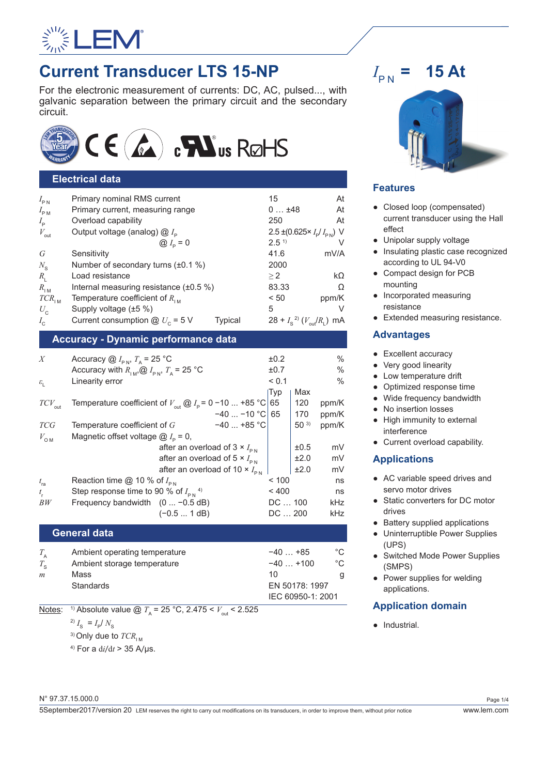

# **Current Transducer LTS 15-NP**

For the electronic measurement of currents: DC, AC, pulsed..., with galvanic separation between the primary circuit and the secondary circuit.



# **Electrical data**

| $I_{\rm PN}$     | Primary nominal RMS current                         | 15                                      | At    |
|------------------|-----------------------------------------------------|-----------------------------------------|-------|
| $I_{\rm PM}$     | Primary current, measuring range                    | 0148                                    | At    |
| $I_{\rm p}$      | Overload capability                                 | 250                                     | At    |
| $V_{\text{out}}$ | Output voltage (analog) @ I <sub>p</sub>            | 2.5 ± (0.625 $I_{\rm p}/I_{\rm pN}$ ) V |       |
|                  | $\bigotimes I_{\rm p} = 0$                          | 2.5 <sup>1</sup>                        |       |
| G                | Sensitivity                                         | 41.6                                    | mV/A  |
| $N_{\rm s}$      | Number of secondary turns $(\pm 0.1\%)$             | 2000                                    |       |
| $R_{\rm i}$      | Load resistance                                     | >2                                      | kΩ    |
| $R_{\text{IM}}$  | Internal measuring resistance (±0.5 %)              | 83.33                                   | Ω     |
| $TCR_{\rm{IM}}$  | Temperature coefficient of $R_{\text{LM}}$          | < 50                                    | ppm/K |
| $U_{\rm c}$      | Supply voltage (±5 %)                               | 5                                       |       |
| $I_{c}$          | Current consumption $@ U_c = 5 V$<br><b>Typical</b> | $28 + I_s^2$ $(V_{\text{out}}/R_L)$ mA  |       |
|                  |                                                     |                                         |       |

# **Accuracy - Dynamic performance data**

| X                     | Accuracy $@I_{\text{pN}}$ , $T_{\text{a}} = 25 \text{ °C}$                                         |                                                  |                   | ±0.2    |          | $\frac{0}{0}$ |
|-----------------------|----------------------------------------------------------------------------------------------------|--------------------------------------------------|-------------------|---------|----------|---------------|
|                       | Accuracy with $R_{\text{IM}}$ , $\omega I_{\text{PN}}$ , $T_{\text{A}}$ = 25 °C                    |                                                  |                   | ±0.7    |          | $\frac{0}{0}$ |
| $\varepsilon_{\rm L}$ | Linearity error                                                                                    |                                                  |                   | < 0.1   |          | $\frac{0}{0}$ |
|                       |                                                                                                    |                                                  |                   | Typ     | Max      |               |
| $TCV_{\rm out}$       | Temperature coefficient of $V_{\text{out}} \textcircled{a} I_{\text{p}} = 0 - 10  + 85 \text{ °C}$ |                                                  |                   | 65      | 120      | ppm/K         |
|                       |                                                                                                    |                                                  | $-40$ $-10$ °C 65 |         | 170      | ppm/K         |
| <b>TCG</b>            | Temperature coefficient of $G$                                                                     |                                                  | $-40$ +85 °C      |         | $50^{3}$ | ppm/K         |
| $V_{\text{OM}}$       | Magnetic offset voltage $@I_{p} = 0$ ,                                                             |                                                  |                   |         |          |               |
|                       |                                                                                                    | after an overload of 3 $\times$ $I_{\text{PN}}$  |                   |         | ±0.5     | mV            |
|                       |                                                                                                    | after an overload of 5 $\times$ $I_{\text{pN}}$  |                   |         | ±2.0     | mV            |
|                       |                                                                                                    | after an overload of 10 $\times$ $I_{\text{pN}}$ |                   |         | ±2.0     | mV            |
| $t_{\rm ra}$          | Reaction time @ 10 % of $I_{\text{PN}}$                                                            |                                                  |                   | ~100    |          | ns            |
| $t_{\rm r}$           | Step response time to 90 % of $I_{pN}$ <sup>4)</sup>                                               |                                                  |                   | < 400   |          | ns            |
| BW                    | Frequency bandwidth $(0  -0.5 dB)$                                                                 |                                                  |                   | DC  100 |          | kHz           |
|                       |                                                                                                    | $(-0.5 1 dB)$                                    |                   | DC  200 |          | kHz           |

# **General data**

| Ambient operating temperature | $-40+85$       | °C                |  |
|-------------------------------|----------------|-------------------|--|
| Ambient storage temperature   | $-40+100$      | °C                |  |
| Mass                          | 10             | g.                |  |
| <b>Standards</b>              | EN 50178: 1997 |                   |  |
|                               |                |                   |  |
|                               |                | IEC 60950-1: 2001 |  |

<u>Notes</u>: <sup>1)</sup> Absolute value @  $T_A = 25 \degree \text{C}$ , 2.475 <  $V_{\text{out}}$  < 2.525

 $^{2)} I_{\rm s} = I_{\rm p} / N_{\rm s}$ 

<sup>3)</sup> Only due to  $TCR$ <sub>IM</sub>

4) For a d*i*/d*t* > 35 A/μs.

#### $I_{\rm PN}$  = **= 15 At**



# **Features**

- Closed loop (compensated) current transducer using the Hall effect
- Unipolar supply voltage
- Insulating plastic case recognized according to UL 94-V0
- Compact design for PCB mounting
- Incorporated measuring resistance
- Extended measuring resistance.

# **Advantages**

- Excellent accuracy
- Very good linearity
- Low temperature drift
- Optimized response time
- Wide frequency bandwidth
- No insertion losses
- High immunity to external interference
- Current overload capability.

# **Applications**

- AC variable speed drives and servo motor drives
- Static converters for DC motor drives
- Battery supplied applications
- Uninterruptible Power Supplies (UPS)
- Switched Mode Power Supplies (SMPS)
- Power supplies for welding applications.

# **Application domain**

● Industrial.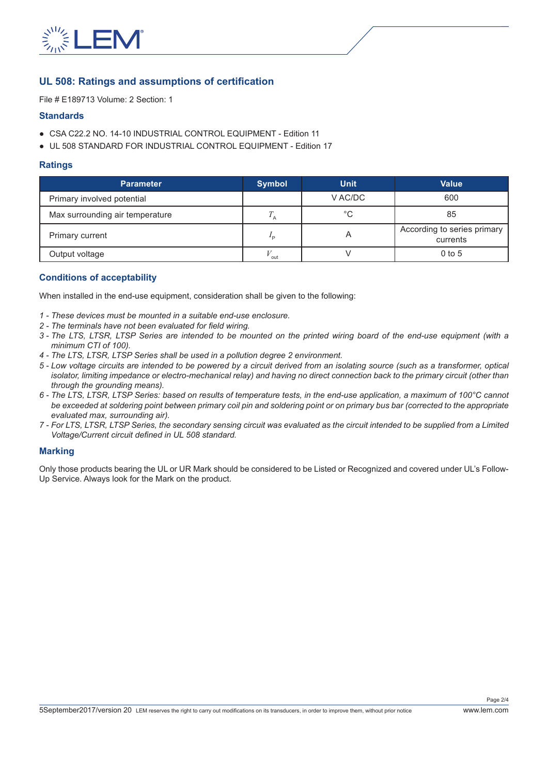

# **UL 508: Ratings and assumptions of certification**

File # E189713 Volume: 2 Section: 1

#### **Standards**

- CSA C22.2 NO. 14-10 INDUSTRIAL CONTROL EQUIPMENT Edition 11
- UL 508 STANDARD FOR INDUSTRIAL CONTROL EQUIPMENT Edition 17

#### **Ratings**

| <b>Parameter</b>                | <b>Symbol</b> | <b>Unit</b> | <b>Value</b>                            |
|---------------------------------|---------------|-------------|-----------------------------------------|
| Primary involved potential      |               | V AC/DC     | 600                                     |
| Max surrounding air temperature |               | °C          | 85                                      |
| Primary current                 | ם י           |             | According to series primary<br>currents |
| Output voltage                  | out           |             | $0$ to 5                                |

## **Conditions of acceptability**

When installed in the end-use equipment, consideration shall be given to the following:

- *1 These devices must be mounted in a suitable end-use enclosure.*
- *2 The terminals have not been evaluated for field wiring.*
- *3 The LTS, LTSR, LTSP Series are intended to be mounted on the printed wiring board of the end-use equipment (with a minimum CTI of 100).*
- *4 The LTS, LTSR, LTSP Series shall be used in a pollution degree 2 environment.*
- *5 Low voltage circuits are intended to be powered by a circuit derived from an isolating source (such as a transformer, optical isolator, limiting impedance or electro-mechanical relay) and having no direct connection back to the primary circuit (other than through the grounding means).*
- *6 The LTS, LTSR, LTSP Series: based on results of temperature tests, in the end-use application, a maximum of 100°C cannot be exceeded at soldering point between primary coil pin and soldering point or on primary bus bar (corrected to the appropriate evaluated max, surrounding air).*
- *7 For LTS, LTSR, LTSP Series, the secondary sensing circuit was evaluated as the circuit intended to be supplied from a Limited Voltage/Current circuit defined in UL 508 standard.*

#### **Marking**

Only those products bearing the UL or UR Mark should be considered to be Listed or Recognized and covered under UL's Follow-Up Service. Always look for the Mark on the product.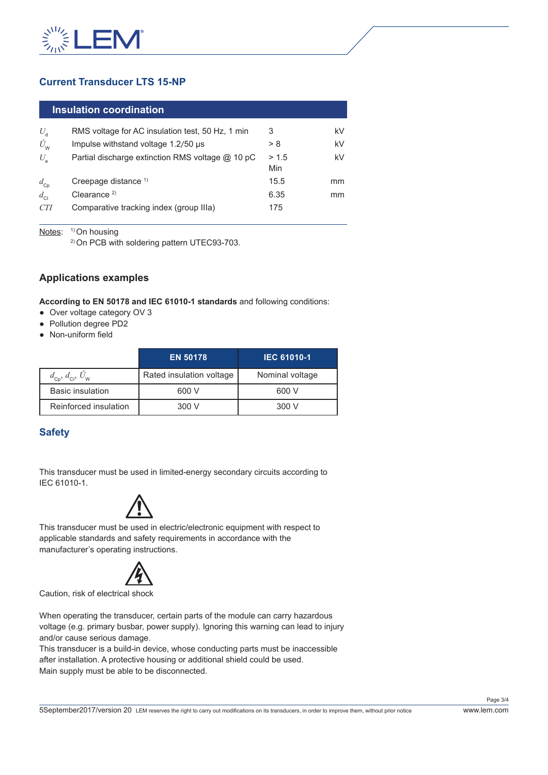

# **Current Transducer LTS 15-NP**

| $\sf{I}$ Insulation coordination $\sf{I}$ |
|-------------------------------------------|
|-------------------------------------------|

| $U_{\rm d}$            | RMS voltage for AC insulation test, 50 Hz, 1 min | 3     | kV |
|------------------------|--------------------------------------------------|-------|----|
| $\hat{U}_{\mathsf{W}}$ | Impulse withstand voltage 1.2/50 µs              | 8 <   | kV |
| $U_{\rm e}$            | Partial discharge extinction RMS voltage @ 10 pC | > 1.5 | kV |
|                        |                                                  | Min   |    |
| $d_{\rm Cp}$           | Creepage distance $1$                            | 15.5  | mm |
| $d_{\rm cl}$           | Clearance $2$                                    | 6.35  | mm |
| <b>CTI</b>             | Comparative tracking index (group IIIa)          | 175   |    |
|                        |                                                  |       |    |

Notes: <sup>1)</sup> On housing

2) On PCB with soldering pattern UTEC93-703.

# **Applications examples**

**According to EN 50178 and IEC 61010-1 standards** and following conditions:

- Over voltage category OV 3
- Pollution degree PD2
- Non-uniform field

|                                                          | <b>EN 50178</b>          | <b>IEC 61010-1</b> |
|----------------------------------------------------------|--------------------------|--------------------|
| $d_{\text{cp}}$ , $d_{\text{cl}}$ , $\hat{U}_{\text{w}}$ | Rated insulation voltage | Nominal voltage    |
| <b>Basic insulation</b>                                  | 600 V                    | 600 V              |
| Reinforced insulation                                    | 300 V                    | 300 V              |

# **Safety**

This transducer must be used in limited-energy secondary circuits according to IEC 61010-1.



This transducer must be used in electric/electronic equipment with respect to applicable standards and safety requirements in accordance with the manufacturer's operating instructions.



Caution, risk of electrical shock

When operating the transducer, certain parts of the module can carry hazardous voltage (e.g. primary busbar, power supply). Ignoring this warning can lead to injury and/or cause serious damage.

This transducer is a build-in device, whose conducting parts must be inaccessible after installation. A protective housing or additional shield could be used. Main supply must be able to be disconnected.